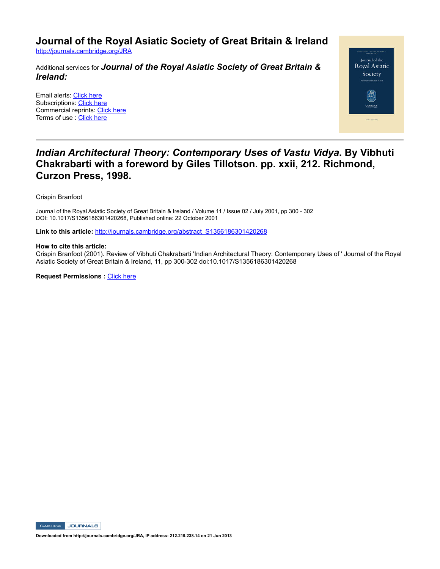**Journal of the Royal Asiatic Society of Great Britain & Ireland**

http://journals.cambridge.org/JRA

Additional services for *Journal of the Royal Asiatic Society of Great Britain & Ireland:*

Email alerts: Click here Subscriptions: Click here Commercial reprints: Click here Terms of use : Click here



## *Indian Architectural Theory: Contemporary Uses of Vastu Vidya***. By Vibhuti Chakrabarti with a foreword by Giles Tillotson. pp. xxii, 212. Richmond, Curzon Press, 1998.**

Crispin Branfoot

Journal of the Royal Asiatic Society of Great Britain & Ireland / Volume 11 / Issue 02 / July 2001, pp 300 - 302 DOI: 10.1017/S1356186301420268, Published online: 22 October 2001

**Link to this article:** http://journals.cambridge.org/abstract\_S1356186301420268

## **How to cite this article:**

Crispin Branfoot (2001). Review of Vibhuti Chakrabarti 'Indian Architectural Theory: Contemporary Uses of ' Journal of the Royal Asiatic Society of Great Britain & Ireland, 11, pp 300302 doi:10.1017/S1356186301420268

**Request Permissions : Click here** 

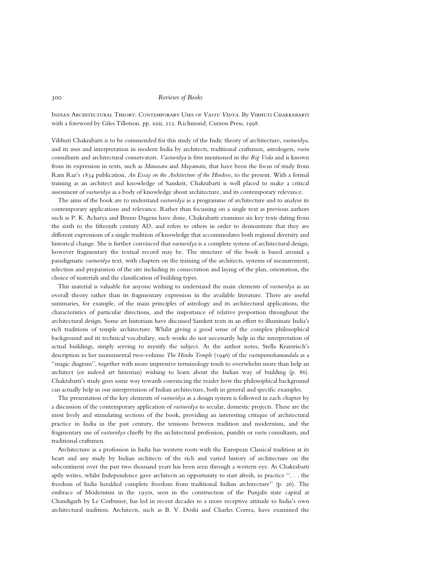## 300 Reviews of Books

Indian Architectural Theory: Contemporary Uses of Vastu Vidya. By Vibhuti Chakrabarti with a foreword by Giles Tillotson. pp. xxii, 212. Richmond, Curzon Press, 1998.

Vibhuti Chakrabarti is to be commended for this study of the Indic theory of architecture, vastuvidya, and its uses and interpretation in modern India by architects, traditional craftsmen, astrologers, vastu consultants and architectural conservators. Vastuvidya is first mentioned in the Rig Veda and is known from its expression in texts, such as Manasara and Mayamata, that have been the focus of study from Ram Raz's 1834 publication, An Essay on the Architecture of the Hindoos, to the present. With a formal training as an architect and knowledge of Sanskrit, Chakrabarti is well placed to make a critical assessment of vastuvidya as a body of knowledge about architecture, and its contemporary relevance.

The aims of the book are to understand vastuvidya as a programme of architecture and to analyse its contemporary applications and relevance. Rather than focussing on a single text as previous authors such as P. K. Acharya and Bruno Dagens have done, Chakrabarti examines six key texts dating from the sixth to the fifteenth century AD, and refers to others in order to demonstrate that they are different expressions of a single tradition of knowledge that accommodates both regional diversity and historical change. She is further convinced that vastuvidya is a complete system of architectural design, however fragmentary the textual record may be. The structure of the book is based around a paradigmatic vastuvidya text, with chapters on the training of the architects, systems of measurement, selection and preparation of the site including its consecration and laying of the plan, orientation, the choice of materials and the classification of building types.

This material is valuable for anyone wishing to understand the main elements of *vastuvidya* as an overall theory rather than its fragmentary expression in the available literature. There are useful summaries, for example, of the main principles of astrology and its architectural applications, the characteristics of particular directions, and the importance of relative proportion throughout the architectural design. Some art historians have discussed Sanskrit texts in an effort to illuminate India's rich traditions of temple architecture. Whilst giving a good sense of the complex philosophical background and its technical vocabulary, such works do not necessarily help in the interpretation of actual buildings, simply serving to mystify the subject. As the author notes, Stella Kramrisch's description in her monumental two-volume The Hindu Temple (1946) of the vastupurushamandala as a ``magic diagram'', together with more impressive terminology tends to overwhelm more than help an architect (or indeed art historian) wishing to learn about the Indian way of building (p. 86). Chakrabarti's study goes some way towards convincing the reader how the philosophical background can actually help in our interpretation of Indian architecture, both in general and specific examples.

The presentation of the key elements of vastuvidya as a design system is followed in each chapter by a discussion of the contemporary application of vastuvidya to secular, domestic projects. These are the most lively and stimulating sections of the book, providing an interesting critique of architectural practice in India in the past century, the tensions between tradition and modernism, and the fragmentary use of *vastuvidya* chiefly by the architectural profession, pundits or *vastu* consultants, and traditional craftsmen.

Architecture as a profession in India has western roots with the European Classical tradition at its heart and any study by Indian architects of the rich and varied history of architecture on the subcontinent over the past two thousand years has been seen through a western eye. As Chakrabarti aptly writes, whilst Independence gave architects an opportunity to start afresh, in practice ``. . . the freedom of India heralded complete freedom from traditional Indian architecture'' (p. 26). The embrace of Modernism in the 1950s, seen in the construction of the Punjabi state capital at Chandigarh by Le Corbusier, has led in recent decades to a more receptive attitude to India's own architectural tradition. Architects, such as B. V. Doshi and Charles Correa, have examined the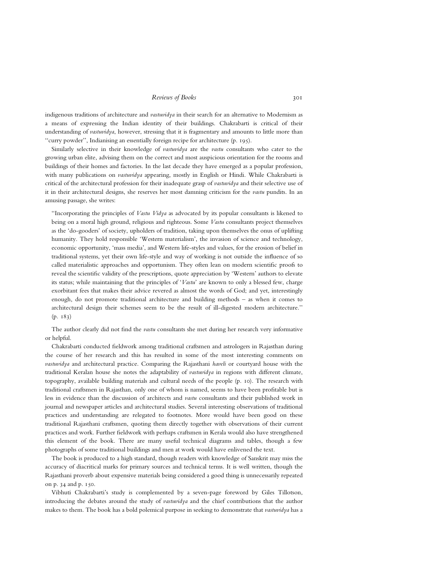Reviews of Books 301

indigenous traditions of architecture and vastuvidya in their search for an alternative to Modernism as a means of expressing the Indian identity of their buildings. Chakrabarti is critical of their understanding of vastuvidya, however, stressing that it is fragmentary and amounts to little more than ``curry powder'', Indianising an essentially foreign recipe for architecture (p. 195).

Similarly selective in their knowledge of vastuvidya are the vastu consultants who cater to the growing urban elite, advising them on the correct and most auspicious orientation for the rooms and buildings of their homes and factories. In the last decade they have emerged as a popular profession, with many publications on *vastuvidya* appearing, mostly in English or Hindi. While Chakrabarti is critical of the architectural profession for their inadequate grasp of vastuvidya and their selective use of it in their architectural designs, she reserves her most damning criticism for the vastu pundits. In an amusing passage, she writes:

"Incorporating the principles of *Vastu Vidya* as advocated by its popular consultants is likened to being on a moral high ground, religious and righteous. Some Vastu consultants project themselves as the `do-gooders' of society, upholders of tradition, taking upon themselves the onus of uplifting humanity. They hold responsible 'Western materialism', the invasion of science and technology, economic opportunity, `mass media', and Western life-styles and values, for the erosion of belief in traditional systems, yet their own life-style and way of working is not outside the influence of so called materialistic approaches and opportunism. They often lean on modern scientific proofs to reveal the scientific validity of the prescriptions, quote appreciation by 'Western' authors to elevate its status; while maintaining that the principles of 'Vastu' are known to only a blessed few, charge exorbitant fees that makes their advice revered as almost the words of God; and yet, interestingly enough, do not promote traditional architecture and building methods  $-$  as when it comes to architectural design their schemes seem to be the result of ill-digested modern architecture.'' (p. 183)

The author clearly did not find the vastu consultants she met during her research very informative or helpful.

Chakrabarti conducted fieldwork among traditional craftsmen and astrologers in Rajasthan during the course of her research and this has resulted in some of the most interesting comments on vastuvidya and architectural practice. Comparing the Rajasthani haveli or courtyard house with the traditional Keralan house she notes the adaptability of vastuvidya in regions with different climate, topography, available building materials and cultural needs of the people (p. 10). The research with traditional craftsmen in Rajasthan, only one of whom is named, seems to have been profitable but is less in evidence than the discussion of architects and vastu consultants and their published work in journal and newspaper articles and architectural studies. Several interesting observations of traditional practices and understanding are relegated to footnotes. More would have been good on these traditional Rajasthani craftsmen, quoting them directly together with observations of their current practices and work. Further fieldwork with perhaps craftsmen in Kerala would also have strengthened this element of the book. There are many useful technical diagrams and tables, though a few photographs of some traditional buildings and men at work would have enlivened the text.

The book is produced to a high standard, though readers with knowledge of Sanskrit may miss the accuracy of diacritical marks for primary sources and technical terms. It is well written, though the Rajasthani proverb about expensive materials being considered a good thing is unnecessarily repeated on p. 34 and p. 150.

Vibhuti Chakrabarti's study is complemented by a seven-page foreword by Giles Tillotson, introducing the debates around the study of vastuvidya and the chief contributions that the author makes to them. The book has a bold polemical purpose in seeking to demonstrate that vastuvidya has a